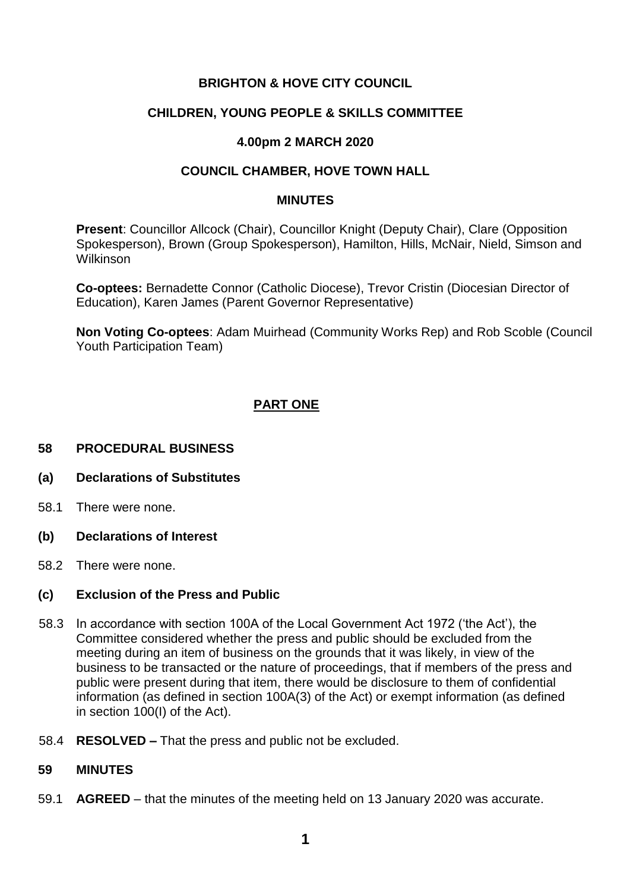## **BRIGHTON & HOVE CITY COUNCIL**

## **CHILDREN, YOUNG PEOPLE & SKILLS COMMITTEE**

## **4.00pm 2 MARCH 2020**

## **COUNCIL CHAMBER, HOVE TOWN HALL**

#### **MINUTES**

**Present**: Councillor Allcock (Chair), Councillor Knight (Deputy Chair), Clare (Opposition Spokesperson), Brown (Group Spokesperson), Hamilton, Hills, McNair, Nield, Simson and Wilkinson

**Co-optees:** Bernadette Connor (Catholic Diocese), Trevor Cristin (Diocesian Director of Education), Karen James (Parent Governor Representative)

**Non Voting Co-optees**: Adam Muirhead (Community Works Rep) and Rob Scoble (Council Youth Participation Team)

# **PART ONE**

### **58 PROCEDURAL BUSINESS**

- **(a) Declarations of Substitutes**
- 58.1 There were none.
- **(b) Declarations of Interest**
- 58.2 There were none.

#### **(c) Exclusion of the Press and Public**

- 58.3 In accordance with section 100A of the Local Government Act 1972 ('the Act'), the Committee considered whether the press and public should be excluded from the meeting during an item of business on the grounds that it was likely, in view of the business to be transacted or the nature of proceedings, that if members of the press and public were present during that item, there would be disclosure to them of confidential information (as defined in section 100A(3) of the Act) or exempt information (as defined in section 100(I) of the Act).
- 58.4 **RESOLVED –** That the press and public not be excluded.

#### **59 MINUTES**

59.1 **AGREED** – that the minutes of the meeting held on 13 January 2020 was accurate.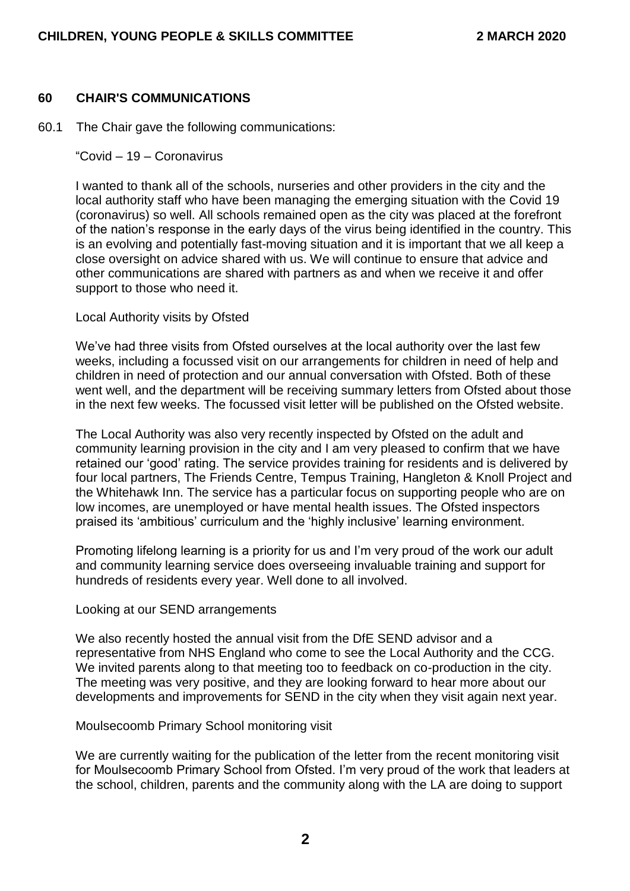#### **60 CHAIR'S COMMUNICATIONS**

- 60.1 The Chair gave the following communications:
	- "Covid 19 Coronavirus

I wanted to thank all of the schools, nurseries and other providers in the city and the local authority staff who have been managing the emerging situation with the Covid 19 (coronavirus) so well. All schools remained open as the city was placed at the forefront of the nation's response in the early days of the virus being identified in the country. This is an evolving and potentially fast-moving situation and it is important that we all keep a close oversight on advice shared with us. We will continue to ensure that advice and other communications are shared with partners as and when we receive it and offer support to those who need it.

#### Local Authority visits by Ofsted

We've had three visits from Ofsted ourselves at the local authority over the last few weeks, including a focussed visit on our arrangements for children in need of help and children in need of protection and our annual conversation with Ofsted. Both of these went well, and the department will be receiving summary letters from Ofsted about those in the next few weeks. The focussed visit letter will be published on the Ofsted website.

The Local Authority was also very recently inspected by Ofsted on the adult and community learning provision in the city and I am very pleased to confirm that we have retained our 'good' rating. The service provides training for residents and is delivered by four local partners, The Friends Centre, Tempus Training, Hangleton & Knoll Project and the Whitehawk Inn. The service has a particular focus on supporting people who are on low incomes, are unemployed or have mental health issues. The Ofsted inspectors praised its 'ambitious' curriculum and the 'highly inclusive' learning environment.

Promoting lifelong learning is a priority for us and I'm very proud of the work our adult and community learning service does overseeing invaluable training and support for hundreds of residents every year. Well done to all involved.

#### Looking at our SEND arrangements

We also recently hosted the annual visit from the DfE SEND advisor and a representative from NHS England who come to see the Local Authority and the CCG. We invited parents along to that meeting too to feedback on co-production in the city. The meeting was very positive, and they are looking forward to hear more about our developments and improvements for SEND in the city when they visit again next year.

#### Moulsecoomb Primary School monitoring visit

We are currently waiting for the publication of the letter from the recent monitoring visit for Moulsecoomb Primary School from Ofsted. I'm very proud of the work that leaders at the school, children, parents and the community along with the LA are doing to support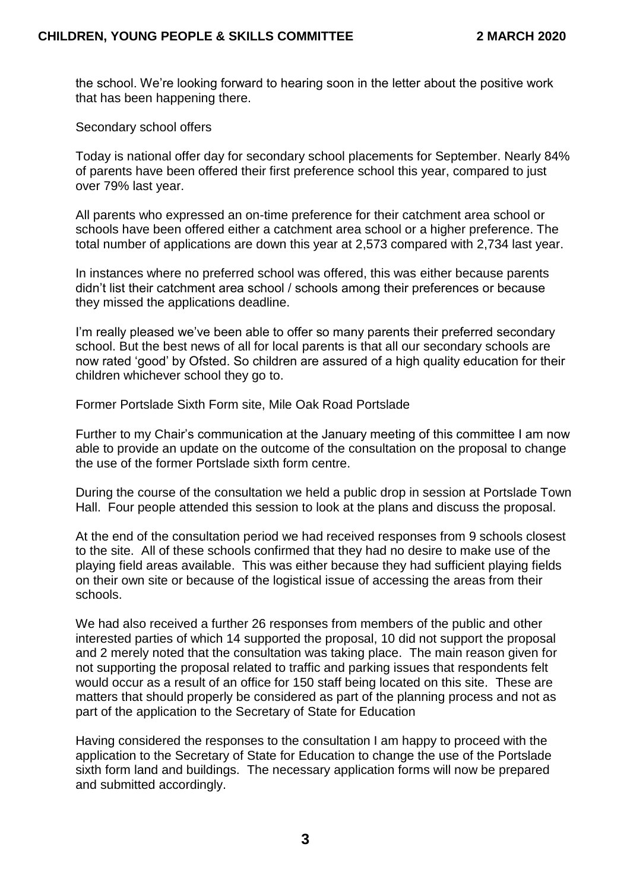the school. We're looking forward to hearing soon in the letter about the positive work that has been happening there.

Secondary school offers

Today is national offer day for secondary school placements for September. Nearly 84% of parents have been offered their first preference school this year, compared to just over 79% last year.

All parents who expressed an on-time preference for their catchment area school or schools have been offered either a catchment area school or a higher preference. The total number of applications are down this year at 2,573 compared with 2,734 last year.

In instances where no preferred school was offered, this was either because parents didn't list their catchment area school / schools among their preferences or because they missed the applications deadline.

I'm really pleased we've been able to offer so many parents their preferred secondary school. But the best news of all for local parents is that all our secondary schools are now rated 'good' by Ofsted. So children are assured of a high quality education for their children whichever school they go to.

Former Portslade Sixth Form site, Mile Oak Road Portslade

Further to my Chair's communication at the January meeting of this committee I am now able to provide an update on the outcome of the consultation on the proposal to change the use of the former Portslade sixth form centre.

During the course of the consultation we held a public drop in session at Portslade Town Hall. Four people attended this session to look at the plans and discuss the proposal.

At the end of the consultation period we had received responses from 9 schools closest to the site. All of these schools confirmed that they had no desire to make use of the playing field areas available. This was either because they had sufficient playing fields on their own site or because of the logistical issue of accessing the areas from their schools.

We had also received a further 26 responses from members of the public and other interested parties of which 14 supported the proposal, 10 did not support the proposal and 2 merely noted that the consultation was taking place. The main reason given for not supporting the proposal related to traffic and parking issues that respondents felt would occur as a result of an office for 150 staff being located on this site. These are matters that should properly be considered as part of the planning process and not as part of the application to the Secretary of State for Education

Having considered the responses to the consultation I am happy to proceed with the application to the Secretary of State for Education to change the use of the Portslade sixth form land and buildings. The necessary application forms will now be prepared and submitted accordingly.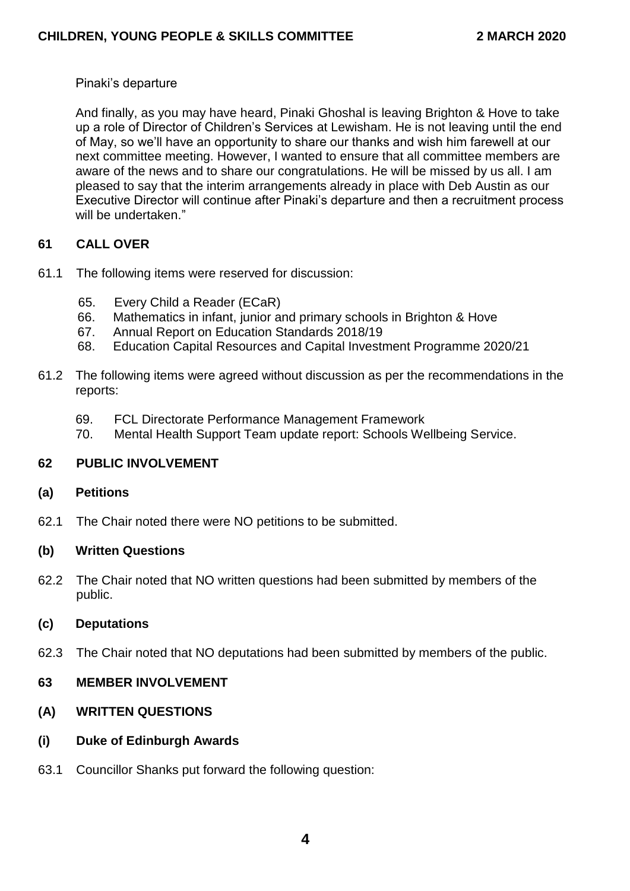## Pinaki's departure

And finally, as you may have heard, Pinaki Ghoshal is leaving Brighton & Hove to take up a role of Director of Children's Services at Lewisham. He is not leaving until the end of May, so we'll have an opportunity to share our thanks and wish him farewell at our next committee meeting. However, I wanted to ensure that all committee members are aware of the news and to share our congratulations. He will be missed by us all. I am pleased to say that the interim arrangements already in place with Deb Austin as our Executive Director will continue after Pinaki's departure and then a recruitment process will be undertaken."

## **61 CALL OVER**

- 61.1 The following items were reserved for discussion:
	- 65. Every Child a Reader (ECaR)
	- 66. Mathematics in infant, junior and primary schools in Brighton & Hove
	- 67. Annual Report on Education Standards 2018/19
	- 68. Education Capital Resources and Capital Investment Programme 2020/21
- 61.2 The following items were agreed without discussion as per the recommendations in the reports:
	- 69. FCL Directorate Performance Management Framework
	- 70. Mental Health Support Team update report: Schools Wellbeing Service.

# **62 PUBLIC INVOLVEMENT**

# **(a) Petitions**

62.1 The Chair noted there were NO petitions to be submitted.

# **(b) Written Questions**

62.2 The Chair noted that NO written questions had been submitted by members of the public.

# **(c) Deputations**

62.3 The Chair noted that NO deputations had been submitted by members of the public.

# **63 MEMBER INVOLVEMENT**

# **(A) WRITTEN QUESTIONS**

- **(i) Duke of Edinburgh Awards**
- 63.1 Councillor Shanks put forward the following question: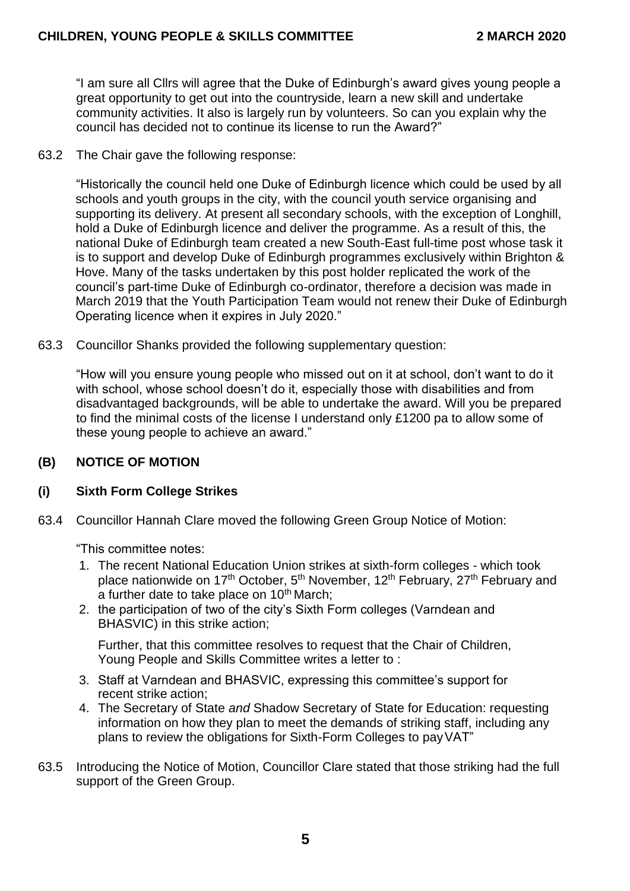"I am sure all Cllrs will agree that the Duke of Edinburgh's award gives young people a great opportunity to get out into the countryside, learn a new skill and undertake community activities. It also is largely run by volunteers. So can you explain why the council has decided not to continue its license to run the Award?"

63.2 The Chair gave the following response:

"Historically the council held one Duke of Edinburgh licence which could be used by all schools and youth groups in the city, with the council youth service organising and supporting its delivery. At present all secondary schools, with the exception of Longhill, hold a Duke of Edinburgh licence and deliver the programme. As a result of this, the national Duke of Edinburgh team created a new South-East full-time post whose task it is to support and develop Duke of Edinburgh programmes exclusively within Brighton & Hove. Many of the tasks undertaken by this post holder replicated the work of the council's part-time Duke of Edinburgh co-ordinator, therefore a decision was made in March 2019 that the Youth Participation Team would not renew their Duke of Edinburgh Operating licence when it expires in July 2020."

63.3 Councillor Shanks provided the following supplementary question:

"How will you ensure young people who missed out on it at school, don't want to do it with school, whose school doesn't do it, especially those with disabilities and from disadvantaged backgrounds, will be able to undertake the award. Will you be prepared to find the minimal costs of the license I understand only £1200 pa to allow some of these young people to achieve an award."

# **(B) NOTICE OF MOTION**

# **(i) Sixth Form College Strikes**

63.4 Councillor Hannah Clare moved the following Green Group Notice of Motion:

"This committee notes:

- 1. The recent National Education Union strikes at sixth-form colleges which took place nationwide on 17<sup>th</sup> October, 5<sup>th</sup> November, 12<sup>th</sup> February, 27<sup>th</sup> February and a further date to take place on 10<sup>th</sup> March;
- 2. the participation of two of the city's Sixth Form colleges (Varndean and BHASVIC) in this strike action;

Further, that this committee resolves to request that the Chair of Children, Young People and Skills Committee writes a letter to :

- 3. Staff at Varndean and BHASVIC, expressing this committee's support for recent strike action;
- 4. The Secretary of State *and* Shadow Secretary of State for Education: requesting information on how they plan to meet the demands of striking staff, including any plans to review the obligations for Sixth-Form Colleges to payVAT"
- 63.5 Introducing the Notice of Motion, Councillor Clare stated that those striking had the full support of the Green Group.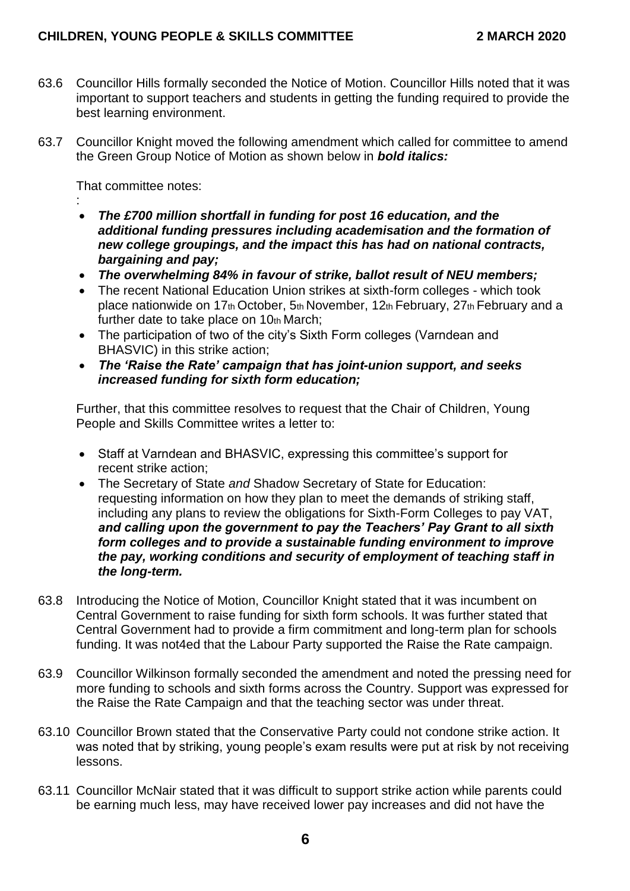- 63.6 Councillor Hills formally seconded the Notice of Motion. Councillor Hills noted that it was important to support teachers and students in getting the funding required to provide the best learning environment.
- 63.7 Councillor Knight moved the following amendment which called for committee to amend the Green Group Notice of Motion as shown below in *bold italics:*

That committee notes:

- : *The £700 million shortfall in funding for post 16 education, and the additional funding pressures including academisation and the formation of new college groupings, and the impact this has had on national contracts, bargaining and pay;*
- *The overwhelming 84% in favour of strike, ballot result of NEU members;*
- The recent National Education Union strikes at sixth-form colleges which took place nationwide on 17th October, 5th November, 12th February, 27th February and a further date to take place on 10th March;
- The participation of two of the city's Sixth Form colleges (Varndean and BHASVIC) in this strike action;
- *The 'Raise the Rate' campaign that has joint-union support, and seeks increased funding for sixth form education;*

Further, that this committee resolves to request that the Chair of Children, Young People and Skills Committee writes a letter to:

- Staff at Varndean and BHASVIC, expressing this committee's support for recent strike action;
- The Secretary of State *and* Shadow Secretary of State for Education: requesting information on how they plan to meet the demands of striking staff, including any plans to review the obligations for Sixth-Form Colleges to pay VAT, *and calling upon the government to pay the Teachers' Pay Grant to all sixth form colleges and to provide a sustainable funding environment to improve the pay, working conditions and security of employment of teaching staff in the long-term.*
- 63.8 Introducing the Notice of Motion, Councillor Knight stated that it was incumbent on Central Government to raise funding for sixth form schools. It was further stated that Central Government had to provide a firm commitment and long-term plan for schools funding. It was not4ed that the Labour Party supported the Raise the Rate campaign.
- 63.9 Councillor Wilkinson formally seconded the amendment and noted the pressing need for more funding to schools and sixth forms across the Country. Support was expressed for the Raise the Rate Campaign and that the teaching sector was under threat.
- 63.10 Councillor Brown stated that the Conservative Party could not condone strike action. It was noted that by striking, young people's exam results were put at risk by not receiving lessons.
- 63.11 Councillor McNair stated that it was difficult to support strike action while parents could be earning much less, may have received lower pay increases and did not have the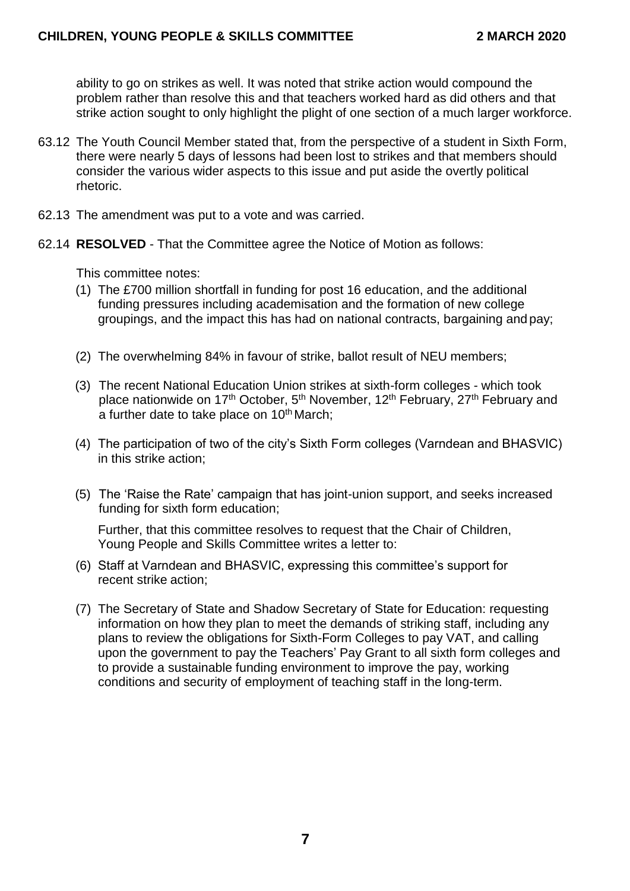ability to go on strikes as well. It was noted that strike action would compound the problem rather than resolve this and that teachers worked hard as did others and that strike action sought to only highlight the plight of one section of a much larger workforce.

- 63.12 The Youth Council Member stated that, from the perspective of a student in Sixth Form, there were nearly 5 days of lessons had been lost to strikes and that members should consider the various wider aspects to this issue and put aside the overtly political rhetoric.
- 62.13 The amendment was put to a vote and was carried.
- 62.14 **RESOLVED**  That the Committee agree the Notice of Motion as follows:

This committee notes:

- (1) The £700 million shortfall in funding for post 16 education, and the additional funding pressures including academisation and the formation of new college groupings, and the impact this has had on national contracts, bargaining andpay;
- (2) The overwhelming 84% in favour of strike, ballot result of NEU members;
- (3) The recent National Education Union strikes at sixth-form colleges which took place nationwide on 17<sup>th</sup> October, 5<sup>th</sup> November, 12<sup>th</sup> February, 27<sup>th</sup> February and a further date to take place on 10<sup>th</sup> March;
- (4) The participation of two of the city's Sixth Form colleges (Varndean and BHASVIC) in this strike action;
- (5) The 'Raise the Rate' campaign that has joint-union support, and seeks increased funding for sixth form education;

Further, that this committee resolves to request that the Chair of Children, Young People and Skills Committee writes a letter to:

- (6) Staff at Varndean and BHASVIC, expressing this committee's support for recent strike action;
- (7) The Secretary of State and Shadow Secretary of State for Education: requesting information on how they plan to meet the demands of striking staff, including any plans to review the obligations for Sixth-Form Colleges to pay VAT, and calling upon the government to pay the Teachers' Pay Grant to all sixth form colleges and to provide a sustainable funding environment to improve the pay, working conditions and security of employment of teaching staff in the long-term.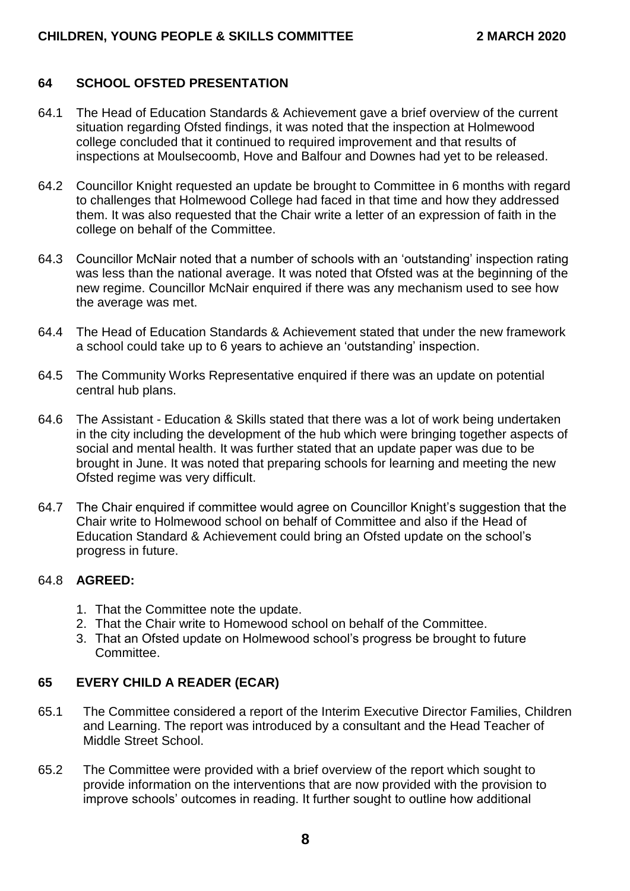## **64 SCHOOL OFSTED PRESENTATION**

- 64.1 The Head of Education Standards & Achievement gave a brief overview of the current situation regarding Ofsted findings, it was noted that the inspection at Holmewood college concluded that it continued to required improvement and that results of inspections at Moulsecoomb, Hove and Balfour and Downes had yet to be released.
- 64.2 Councillor Knight requested an update be brought to Committee in 6 months with regard to challenges that Holmewood College had faced in that time and how they addressed them. It was also requested that the Chair write a letter of an expression of faith in the college on behalf of the Committee.
- 64.3 Councillor McNair noted that a number of schools with an 'outstanding' inspection rating was less than the national average. It was noted that Ofsted was at the beginning of the new regime. Councillor McNair enquired if there was any mechanism used to see how the average was met.
- 64.4 The Head of Education Standards & Achievement stated that under the new framework a school could take up to 6 years to achieve an 'outstanding' inspection.
- 64.5 The Community Works Representative enquired if there was an update on potential central hub plans.
- 64.6 The Assistant Education & Skills stated that there was a lot of work being undertaken in the city including the development of the hub which were bringing together aspects of social and mental health. It was further stated that an update paper was due to be brought in June. It was noted that preparing schools for learning and meeting the new Ofsted regime was very difficult.
- 64.7 The Chair enquired if committee would agree on Councillor Knight's suggestion that the Chair write to Holmewood school on behalf of Committee and also if the Head of Education Standard & Achievement could bring an Ofsted update on the school's progress in future.

### 64.8 **AGREED:**

- 1. That the Committee note the update.
- 2. That the Chair write to Homewood school on behalf of the Committee.
- 3. That an Ofsted update on Holmewood school's progress be brought to future Committee.

### **65 EVERY CHILD A READER (ECAR)**

- 65.1 The Committee considered a report of the Interim Executive Director Families, Children and Learning. The report was introduced by a consultant and the Head Teacher of Middle Street School.
- 65.2 The Committee were provided with a brief overview of the report which sought to provide information on the interventions that are now provided with the provision to improve schools' outcomes in reading. It further sought to outline how additional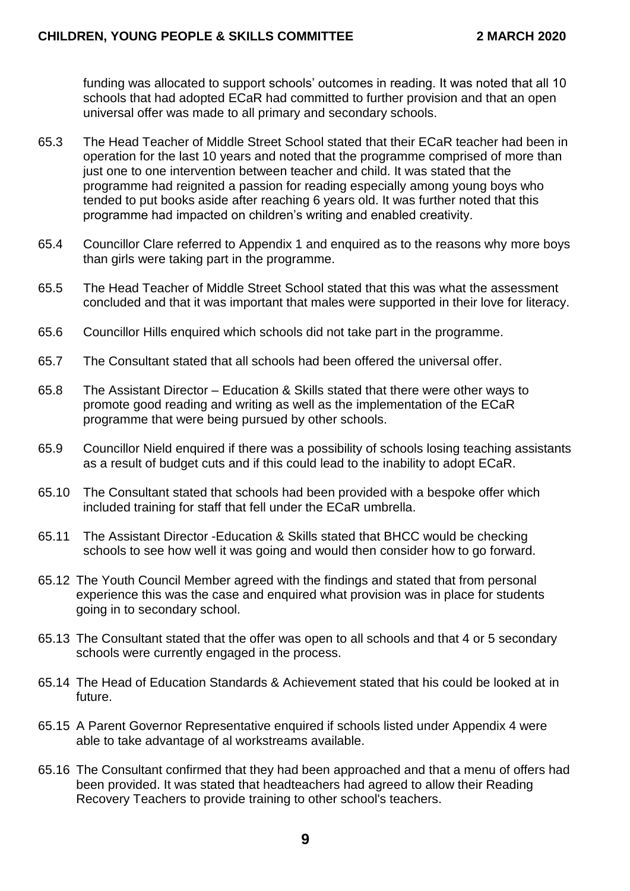funding was allocated to support schools' outcomes in reading. It was noted that all 10 schools that had adopted ECaR had committed to further provision and that an open universal offer was made to all primary and secondary schools.

- 65.3 The Head Teacher of Middle Street School stated that their ECaR teacher had been in operation for the last 10 years and noted that the programme comprised of more than just one to one intervention between teacher and child. It was stated that the programme had reignited a passion for reading especially among young boys who tended to put books aside after reaching 6 years old. It was further noted that this programme had impacted on children's writing and enabled creativity.
- 65.4 Councillor Clare referred to Appendix 1 and enquired as to the reasons why more boys than girls were taking part in the programme.
- 65.5 The Head Teacher of Middle Street School stated that this was what the assessment concluded and that it was important that males were supported in their love for literacy.
- 65.6 Councillor Hills enquired which schools did not take part in the programme.
- 65.7 The Consultant stated that all schools had been offered the universal offer.
- 65.8 The Assistant Director Education & Skills stated that there were other ways to promote good reading and writing as well as the implementation of the ECaR programme that were being pursued by other schools.
- 65.9 Councillor Nield enquired if there was a possibility of schools losing teaching assistants as a result of budget cuts and if this could lead to the inability to adopt ECaR.
- 65.10 The Consultant stated that schools had been provided with a bespoke offer which included training for staff that fell under the ECaR umbrella.
- 65.11 The Assistant Director -Education & Skills stated that BHCC would be checking schools to see how well it was going and would then consider how to go forward.
- 65.12 The Youth Council Member agreed with the findings and stated that from personal experience this was the case and enquired what provision was in place for students going in to secondary school.
- 65.13 The Consultant stated that the offer was open to all schools and that 4 or 5 secondary schools were currently engaged in the process.
- 65.14 The Head of Education Standards & Achievement stated that his could be looked at in future.
- 65.15 A Parent Governor Representative enquired if schools listed under Appendix 4 were able to take advantage of al workstreams available.
- 65.16 The Consultant confirmed that they had been approached and that a menu of offers had been provided. It was stated that headteachers had agreed to allow their Reading Recovery Teachers to provide training to other school's teachers.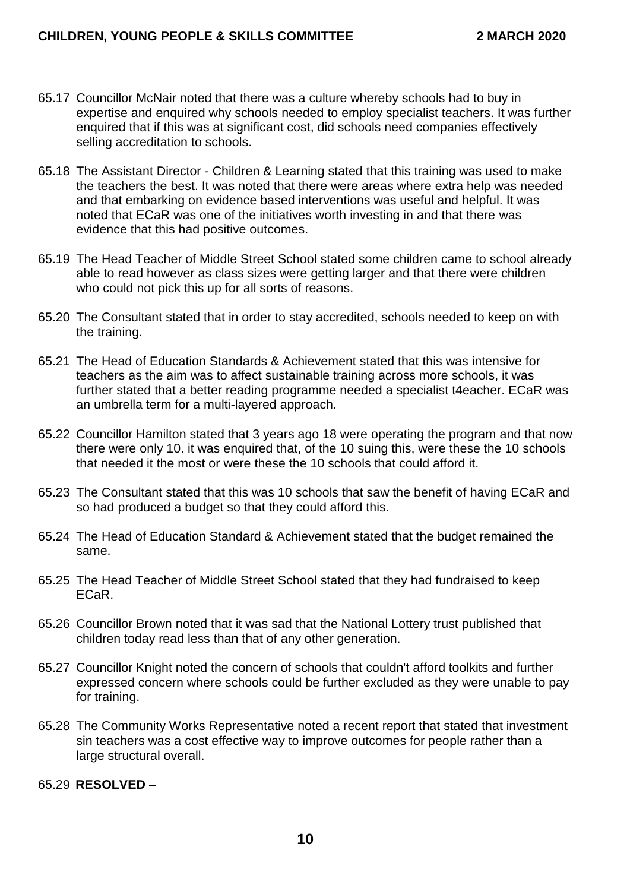- 65.17 Councillor McNair noted that there was a culture whereby schools had to buy in expertise and enquired why schools needed to employ specialist teachers. It was further enquired that if this was at significant cost, did schools need companies effectively selling accreditation to schools.
- 65.18 The Assistant Director Children & Learning stated that this training was used to make the teachers the best. It was noted that there were areas where extra help was needed and that embarking on evidence based interventions was useful and helpful. It was noted that ECaR was one of the initiatives worth investing in and that there was evidence that this had positive outcomes.
- 65.19 The Head Teacher of Middle Street School stated some children came to school already able to read however as class sizes were getting larger and that there were children who could not pick this up for all sorts of reasons.
- 65.20 The Consultant stated that in order to stay accredited, schools needed to keep on with the training.
- 65.21 The Head of Education Standards & Achievement stated that this was intensive for teachers as the aim was to affect sustainable training across more schools, it was further stated that a better reading programme needed a specialist t4eacher. ECaR was an umbrella term for a multi-layered approach.
- 65.22 Councillor Hamilton stated that 3 years ago 18 were operating the program and that now there were only 10. it was enquired that, of the 10 suing this, were these the 10 schools that needed it the most or were these the 10 schools that could afford it.
- 65.23 The Consultant stated that this was 10 schools that saw the benefit of having ECaR and so had produced a budget so that they could afford this.
- 65.24 The Head of Education Standard & Achievement stated that the budget remained the same.
- 65.25 The Head Teacher of Middle Street School stated that they had fundraised to keep ECaR.
- 65.26 Councillor Brown noted that it was sad that the National Lottery trust published that children today read less than that of any other generation.
- 65.27 Councillor Knight noted the concern of schools that couldn't afford toolkits and further expressed concern where schools could be further excluded as they were unable to pay for training.
- 65.28 The Community Works Representative noted a recent report that stated that investment sin teachers was a cost effective way to improve outcomes for people rather than a large structural overall.

65.29 **RESOLVED –**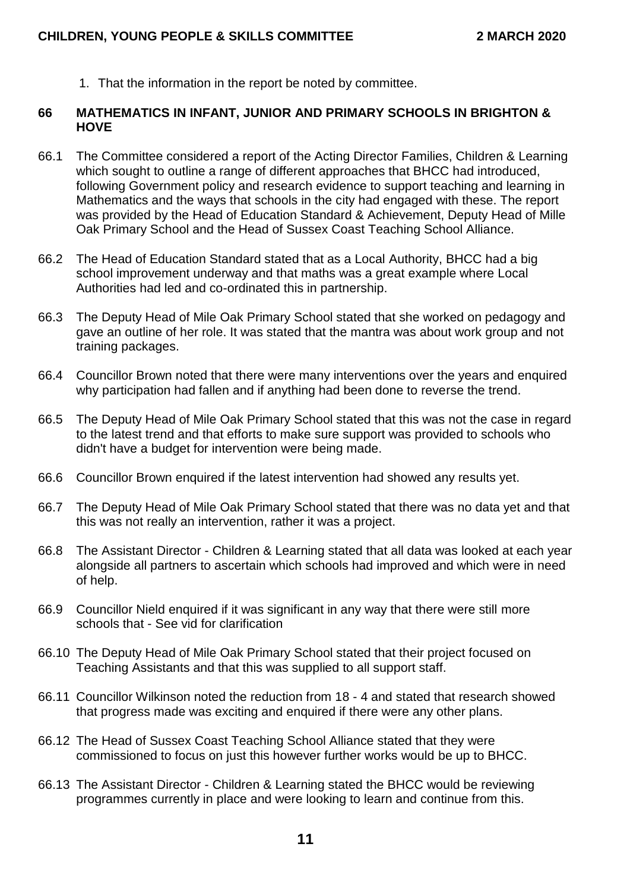1. That the information in the report be noted by committee.

#### **66 MATHEMATICS IN INFANT, JUNIOR AND PRIMARY SCHOOLS IN BRIGHTON & HOVE**

- 66.1 The Committee considered a report of the Acting Director Families, Children & Learning which sought to outline a range of different approaches that BHCC had introduced, following Government policy and research evidence to support teaching and learning in Mathematics and the ways that schools in the city had engaged with these. The report was provided by the Head of Education Standard & Achievement, Deputy Head of Mille Oak Primary School and the Head of Sussex Coast Teaching School Alliance.
- 66.2 The Head of Education Standard stated that as a Local Authority, BHCC had a big school improvement underway and that maths was a great example where Local Authorities had led and co-ordinated this in partnership.
- 66.3 The Deputy Head of Mile Oak Primary School stated that she worked on pedagogy and gave an outline of her role. It was stated that the mantra was about work group and not training packages.
- 66.4 Councillor Brown noted that there were many interventions over the years and enquired why participation had fallen and if anything had been done to reverse the trend.
- 66.5 The Deputy Head of Mile Oak Primary School stated that this was not the case in regard to the latest trend and that efforts to make sure support was provided to schools who didn't have a budget for intervention were being made.
- 66.6 Councillor Brown enquired if the latest intervention had showed any results yet.
- 66.7 The Deputy Head of Mile Oak Primary School stated that there was no data yet and that this was not really an intervention, rather it was a project.
- 66.8 The Assistant Director Children & Learning stated that all data was looked at each year alongside all partners to ascertain which schools had improved and which were in need of help.
- 66.9 Councillor Nield enquired if it was significant in any way that there were still more schools that - See vid for clarification
- 66.10 The Deputy Head of Mile Oak Primary School stated that their project focused on Teaching Assistants and that this was supplied to all support staff.
- 66.11 Councillor Wilkinson noted the reduction from 18 4 and stated that research showed that progress made was exciting and enquired if there were any other plans.
- 66.12 The Head of Sussex Coast Teaching School Alliance stated that they were commissioned to focus on just this however further works would be up to BHCC.
- 66.13 The Assistant Director Children & Learning stated the BHCC would be reviewing programmes currently in place and were looking to learn and continue from this.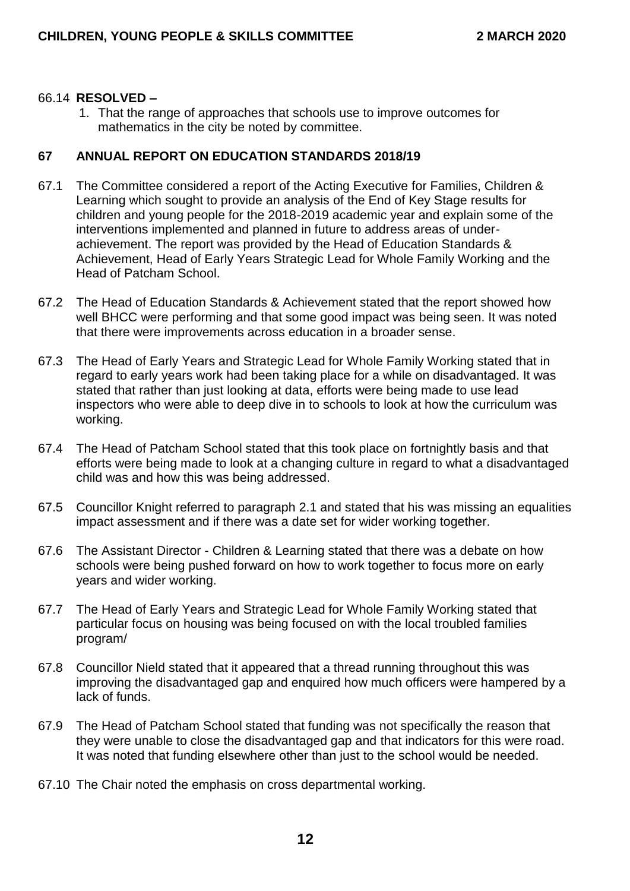#### 66.14 **RESOLVED –**

1. That the range of approaches that schools use to improve outcomes for mathematics in the city be noted by committee.

#### **67 ANNUAL REPORT ON EDUCATION STANDARDS 2018/19**

- 67.1 The Committee considered a report of the Acting Executive for Families, Children & Learning which sought to provide an analysis of the End of Key Stage results for children and young people for the 2018-2019 academic year and explain some of the interventions implemented and planned in future to address areas of underachievement. The report was provided by the Head of Education Standards & Achievement, Head of Early Years Strategic Lead for Whole Family Working and the Head of Patcham School.
- 67.2 The Head of Education Standards & Achievement stated that the report showed how well BHCC were performing and that some good impact was being seen. It was noted that there were improvements across education in a broader sense.
- 67.3 The Head of Early Years and Strategic Lead for Whole Family Working stated that in regard to early years work had been taking place for a while on disadvantaged. It was stated that rather than just looking at data, efforts were being made to use lead inspectors who were able to deep dive in to schools to look at how the curriculum was working.
- 67.4 The Head of Patcham School stated that this took place on fortnightly basis and that efforts were being made to look at a changing culture in regard to what a disadvantaged child was and how this was being addressed.
- 67.5 Councillor Knight referred to paragraph 2.1 and stated that his was missing an equalities impact assessment and if there was a date set for wider working together.
- 67.6 The Assistant Director Children & Learning stated that there was a debate on how schools were being pushed forward on how to work together to focus more on early years and wider working.
- 67.7 The Head of Early Years and Strategic Lead for Whole Family Working stated that particular focus on housing was being focused on with the local troubled families program/
- 67.8 Councillor Nield stated that it appeared that a thread running throughout this was improving the disadvantaged gap and enquired how much officers were hampered by a lack of funds.
- 67.9 The Head of Patcham School stated that funding was not specifically the reason that they were unable to close the disadvantaged gap and that indicators for this were road. It was noted that funding elsewhere other than just to the school would be needed.
- 67.10 The Chair noted the emphasis on cross departmental working.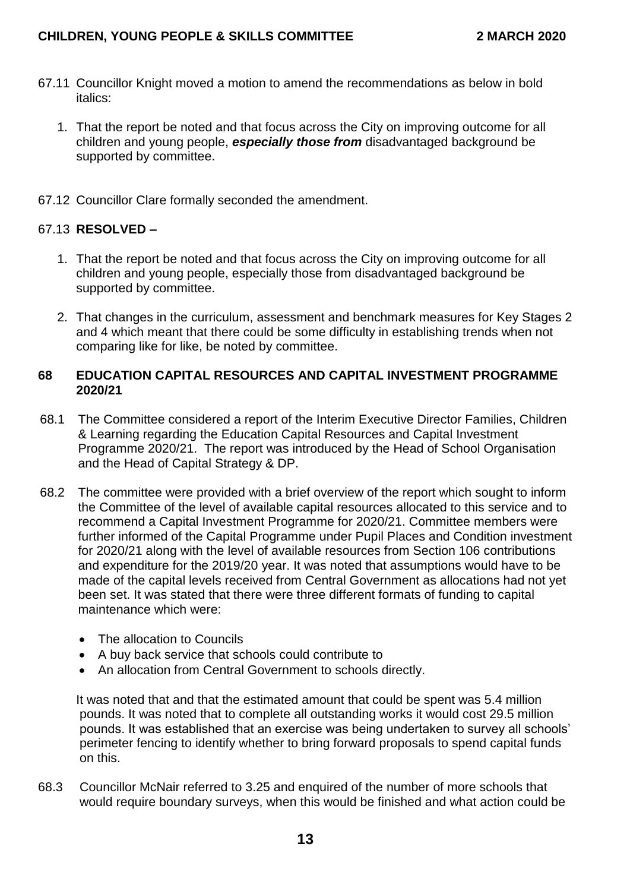- 67.11 Councillor Knight moved a motion to amend the recommendations as below in bold italics:
	- 1. That the report be noted and that focus across the City on improving outcome for all children and young people, *especially those from* disadvantaged background be supported by committee.
- 67.12 Councillor Clare formally seconded the amendment.

# 67.13 **RESOLVED –**

- 1. That the report be noted and that focus across the City on improving outcome for all children and young people, especially those from disadvantaged background be supported by committee.
- 2. That changes in the curriculum, assessment and benchmark measures for Key Stages 2 and 4 which meant that there could be some difficulty in establishing trends when not comparing like for like, be noted by committee.

## **68 EDUCATION CAPITAL RESOURCES AND CAPITAL INVESTMENT PROGRAMME 2020/21**

- 68.1 The Committee considered a report of the Interim Executive Director Families, Children & Learning regarding the Education Capital Resources and Capital Investment Programme 2020/21. The report was introduced by the Head of School Organisation and the Head of Capital Strategy & DP.
- 68.2 The committee were provided with a brief overview of the report which sought to inform the Committee of the level of available capital resources allocated to this service and to recommend a Capital Investment Programme for 2020/21. Committee members were further informed of the Capital Programme under Pupil Places and Condition investment for 2020/21 along with the level of available resources from Section 106 contributions and expenditure for the 2019/20 year. It was noted that assumptions would have to be made of the capital levels received from Central Government as allocations had not yet been set. It was stated that there were three different formats of funding to capital maintenance which were:
	- The allocation to Councils
	- A buy back service that schools could contribute to
	- An allocation from Central Government to schools directly.

It was noted that and that the estimated amount that could be spent was 5.4 million pounds. It was noted that to complete all outstanding works it would cost 29.5 million pounds. It was established that an exercise was being undertaken to survey all schools' perimeter fencing to identify whether to bring forward proposals to spend capital funds on this.

68.3 Councillor McNair referred to 3.25 and enquired of the number of more schools that would require boundary surveys, when this would be finished and what action could be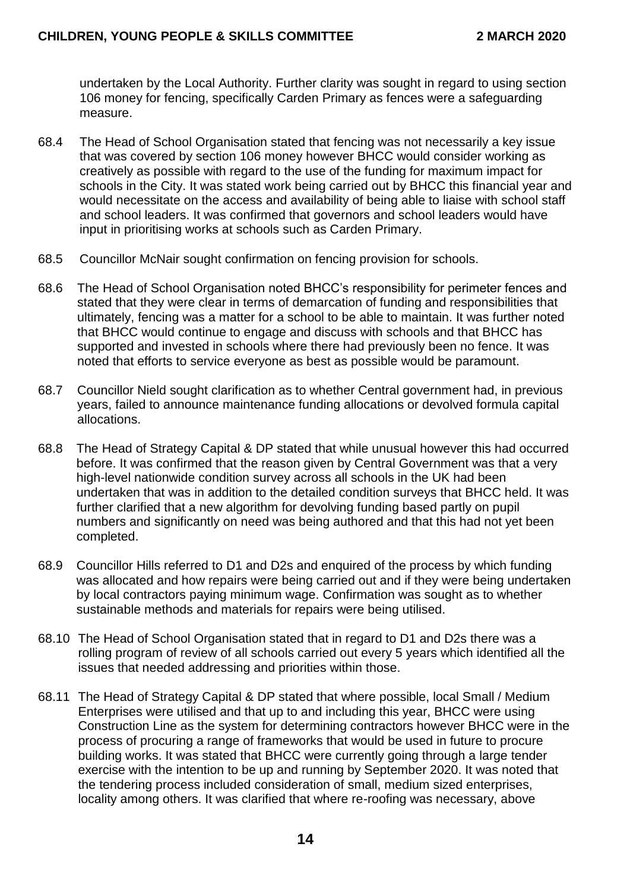undertaken by the Local Authority. Further clarity was sought in regard to using section 106 money for fencing, specifically Carden Primary as fences were a safeguarding measure.

- 68.4 The Head of School Organisation stated that fencing was not necessarily a key issue that was covered by section 106 money however BHCC would consider working as creatively as possible with regard to the use of the funding for maximum impact for schools in the City. It was stated work being carried out by BHCC this financial year and would necessitate on the access and availability of being able to liaise with school staff and school leaders. It was confirmed that governors and school leaders would have input in prioritising works at schools such as Carden Primary.
- 68.5 Councillor McNair sought confirmation on fencing provision for schools.
- 68.6 The Head of School Organisation noted BHCC's responsibility for perimeter fences and stated that they were clear in terms of demarcation of funding and responsibilities that ultimately, fencing was a matter for a school to be able to maintain. It was further noted that BHCC would continue to engage and discuss with schools and that BHCC has supported and invested in schools where there had previously been no fence. It was noted that efforts to service everyone as best as possible would be paramount.
- 68.7 Councillor Nield sought clarification as to whether Central government had, in previous years, failed to announce maintenance funding allocations or devolved formula capital allocations.
- 68.8 The Head of Strategy Capital & DP stated that while unusual however this had occurred before. It was confirmed that the reason given by Central Government was that a very high-level nationwide condition survey across all schools in the UK had been undertaken that was in addition to the detailed condition surveys that BHCC held. It was further clarified that a new algorithm for devolving funding based partly on pupil numbers and significantly on need was being authored and that this had not yet been completed.
- 68.9 Councillor Hills referred to D1 and D2s and enquired of the process by which funding was allocated and how repairs were being carried out and if they were being undertaken by local contractors paying minimum wage. Confirmation was sought as to whether sustainable methods and materials for repairs were being utilised.
- 68.10 The Head of School Organisation stated that in regard to D1 and D2s there was a rolling program of review of all schools carried out every 5 years which identified all the issues that needed addressing and priorities within those.
- 68.11 The Head of Strategy Capital & DP stated that where possible, local Small / Medium Enterprises were utilised and that up to and including this year, BHCC were using Construction Line as the system for determining contractors however BHCC were in the process of procuring a range of frameworks that would be used in future to procure building works. It was stated that BHCC were currently going through a large tender exercise with the intention to be up and running by September 2020. It was noted that the tendering process included consideration of small, medium sized enterprises, locality among others. It was clarified that where re-roofing was necessary, above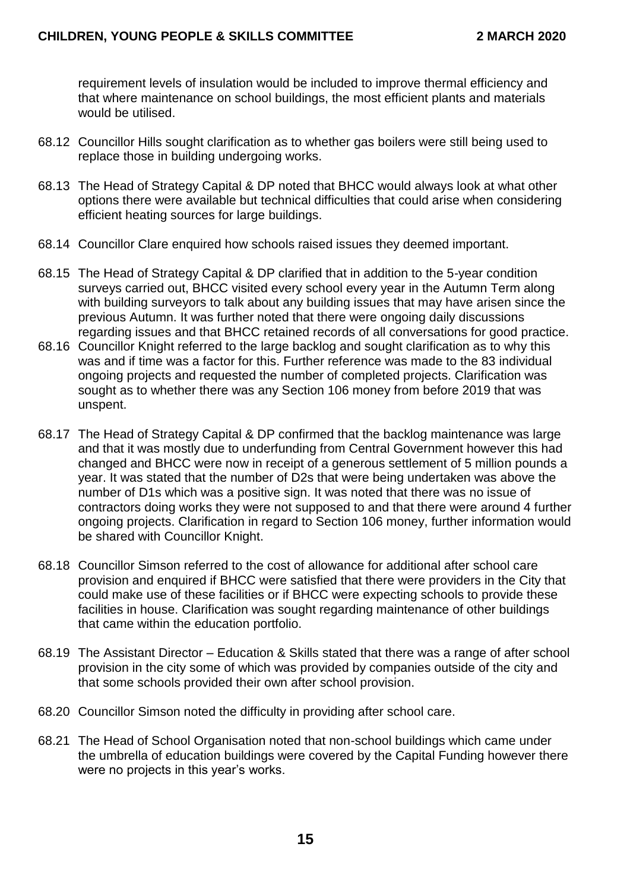requirement levels of insulation would be included to improve thermal efficiency and that where maintenance on school buildings, the most efficient plants and materials would be utilised.

- 68.12 Councillor Hills sought clarification as to whether gas boilers were still being used to replace those in building undergoing works.
- 68.13 The Head of Strategy Capital & DP noted that BHCC would always look at what other options there were available but technical difficulties that could arise when considering efficient heating sources for large buildings.
- 68.14 Councillor Clare enquired how schools raised issues they deemed important.
- 68.15 The Head of Strategy Capital & DP clarified that in addition to the 5-year condition surveys carried out, BHCC visited every school every year in the Autumn Term along with building surveyors to talk about any building issues that may have arisen since the previous Autumn. It was further noted that there were ongoing daily discussions regarding issues and that BHCC retained records of all conversations for good practice.
- 68.16 Councillor Knight referred to the large backlog and sought clarification as to why this was and if time was a factor for this. Further reference was made to the 83 individual ongoing projects and requested the number of completed projects. Clarification was sought as to whether there was any Section 106 money from before 2019 that was unspent.
- 68.17 The Head of Strategy Capital & DP confirmed that the backlog maintenance was large and that it was mostly due to underfunding from Central Government however this had changed and BHCC were now in receipt of a generous settlement of 5 million pounds a year. It was stated that the number of D2s that were being undertaken was above the number of D1s which was a positive sign. It was noted that there was no issue of contractors doing works they were not supposed to and that there were around 4 further ongoing projects. Clarification in regard to Section 106 money, further information would be shared with Councillor Knight.
- 68.18 Councillor Simson referred to the cost of allowance for additional after school care provision and enquired if BHCC were satisfied that there were providers in the City that could make use of these facilities or if BHCC were expecting schools to provide these facilities in house. Clarification was sought regarding maintenance of other buildings that came within the education portfolio.
- 68.19 The Assistant Director Education & Skills stated that there was a range of after school provision in the city some of which was provided by companies outside of the city and that some schools provided their own after school provision.
- 68.20 Councillor Simson noted the difficulty in providing after school care.
- 68.21 The Head of School Organisation noted that non-school buildings which came under the umbrella of education buildings were covered by the Capital Funding however there were no projects in this year's works.